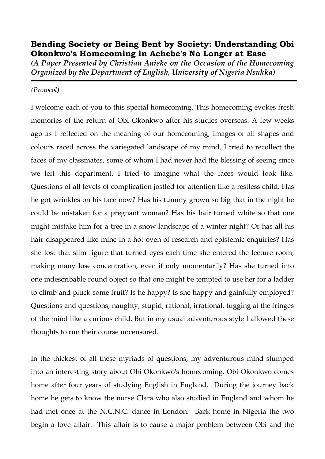## **Bending Society or Being Bent by Society: Understanding Obi Okonkwo's Homecoming in Achebe's No Longer at Ease**

*(A Paper Presented by Christian Anieke on the Occasion of the Homecoming Organized by the Department of English, University of Nigeria Nsukka)*

## *(Protocol)*

I welcome each of you to this special homecoming. This homecoming evokes fresh memories of the return of Obi Okonkwo after his studies overseas. A few weeks ago as I reflected on the meaning of our homecoming, images of all shapes and colours raced across the variegated landscape of my mind. I tried to recollect the faces of my classmates, some of whom I had never had the blessing of seeing since we left this department. I tried to imagine what the faces would look like. Questions of all levels of complication jostled for attention like a restless child. Has he got wrinkles on his face now? Has his tummy grown so big that in the night he could be mistaken for a pregnant woman? Has his hair turned white so that one might mistake him for a tree in a snow landscape of a winter night? Or has all his hair disappeared like mine in a hot oven of research and epistemic enquiries? Has she lost that slim figure that turned eyes each time she entered the lecture room, making many lose concentration, even if only momentarily? Has she turned into one indescribable round object so that one might be tempted to use her for a ladder to climb and pluck some fruit? Is he happy? Is she happy and gainfully employed? Questions and questions, naughty, stupid, rational, irrational, tugging at the fringes of the mind like a curious child. But in my usual adventurous style I allowed these thoughts to run their course uncensored.

In the thickest of all these myriads of questions, my adventurous mind slumped into an interesting story about Obi Okonkwo's homecoming. Obi Okonkwo comes home after four years of studying English in England. During the journey back home he gets to know the nurse Clara who also studied in England and whom he had met once at the N.C.N.C. dance in London. Back home in Nigeria the two begin a love affair. This affair is to cause a major problem between Obi and the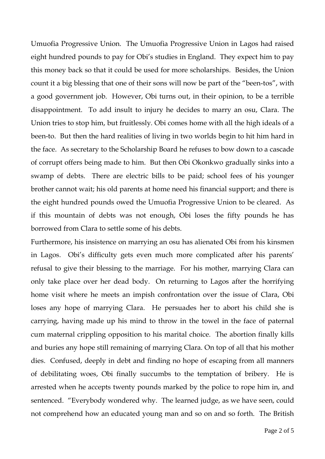Umuofia Progressive Union. The Umuofia Progressive Union in Lagos had raised eight hundred pounds to pay for Obi's studies in England. They expect him to pay this money back so that it could be used for more scholarships. Besides, the Union count it a big blessing that one of their sons will now be part of the "been-tos", with a good government job. However, Obi turns out, in their opinion, to be a terrible disappointment. To add insult to injury he decides to marry an osu, Clara. The Union tries to stop him, but fruitlessly. Obi comes home with all the high ideals of a been-to. But then the hard realities of living in two worlds begin to hit him hard in the face. As secretary to the Scholarship Board he refuses to bow down to a cascade of corrupt offers being made to him. But then Obi Okonkwo gradually sinks into a swamp of debts. There are electric bills to be paid; school fees of his younger brother cannot wait; his old parents at home need his financial support; and there is the eight hundred pounds owed the Umuofia Progressive Union to be cleared. As if this mountain of debts was not enough, Obi loses the fifty pounds he has borrowed from Clara to settle some of his debts.

Furthermore, his insistence on marrying an osu has alienated Obi from his kinsmen in Lagos. Obi's difficulty gets even much more complicated after his parents' refusal to give their blessing to the marriage. For his mother, marrying Clara can only take place over her dead body. On returning to Lagos after the horrifying home visit where he meets an impish confrontation over the issue of Clara, Obi loses any hope of marrying Clara. He persuades her to abort his child she is carrying, having made up his mind to throw in the towel in the face of paternal cum maternal crippling opposition to his marital choice. The abortion finally kills and buries any hope still remaining of marrying Clara. On top of all that his mother dies. Confused, deeply in debt and finding no hope of escaping from all manners of debilitating woes, Obi finally succumbs to the temptation of bribery. He is arrested when he accepts twenty pounds marked by the police to rope him in, and sentenced. "Everybody wondered why. The learned judge, as we have seen, could not comprehend how an educated young man and so on and so forth. The British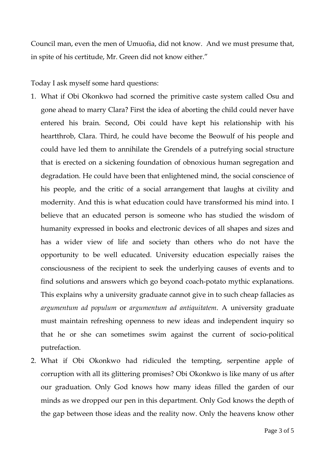Council man, even the men of Umuofia, did not know. And we must presume that, in spite of his certitude, Mr. Green did not know either."

Today I ask myself some hard questions:

- 1. What if Obi Okonkwo had scorned the primitive caste system called Osu and gone ahead to marry Clara? First the idea of aborting the child could never have entered his brain. Second, Obi could have kept his relationship with his heartthrob, Clara. Third, he could have become the Beowulf of his people and could have led them to annihilate the Grendels of a putrefying social structure that is erected on a sickening foundation of obnoxious human segregation and degradation. He could have been that enlightened mind, the social conscience of his people, and the critic of a social arrangement that laughs at civility and modernity. And this is what education could have transformed his mind into. I believe that an educated person is someone who has studied the wisdom of humanity expressed in books and electronic devices of all shapes and sizes and has a wider view of life and society than others who do not have the opportunity to be well educated. University education especially raises the consciousness of the recipient to seek the underlying causes of events and to find solutions and answers which go beyond coach-potato mythic explanations. This explains why a university graduate cannot give in to such cheap fallacies as *argumentum ad populum* or *argumentum ad antiquitatem*. A university graduate must maintain refreshing openness to new ideas and independent inquiry so that he or she can sometimes swim against the current of socio-political putrefaction.
- 2. What if Obi Okonkwo had ridiculed the tempting, serpentine apple of corruption with all its glittering promises? Obi Okonkwo is like many of us after our graduation. Only God knows how many ideas filled the garden of our minds as we dropped our pen in this department. Only God knows the depth of the gap between those ideas and the reality now. Only the heavens know other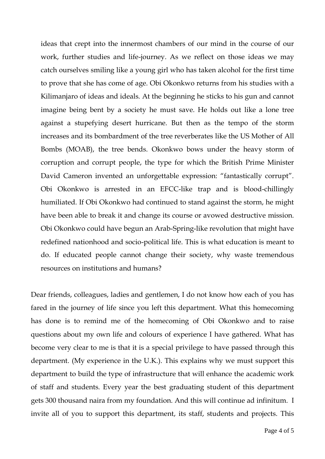ideas that crept into the innermost chambers of our mind in the course of our work, further studies and life-journey. As we reflect on those ideas we may catch ourselves smiling like a young girl who has taken alcohol for the first time to prove that she has come of age. Obi Okonkwo returns from his studies with a Kilimanjaro of ideas and ideals. At the beginning he sticks to his gun and cannot imagine being bent by a society he must save. He holds out like a lone tree against a stupefying desert hurricane. But then as the tempo of the storm increases and its bombardment of the tree reverberates like the US Mother of All Bombs (MOAB), the tree bends. Okonkwo bows under the heavy storm of corruption and corrupt people, the type for which the British Prime Minister David Cameron invented an unforgettable expression: "fantastically corrupt". Obi Okonkwo is arrested in an EFCC-like trap and is blood-chillingly humiliated. If Obi Okonkwo had continued to stand against the storm, he might have been able to break it and change its course or avowed destructive mission. Obi Okonkwo could have begun an Arab-Spring-like revolution that might have redefined nationhood and socio-political life. This is what education is meant to do. If educated people cannot change their society, why waste tremendous resources on institutions and humans?

Dear friends, colleagues, ladies and gentlemen, I do not know how each of you has fared in the journey of life since you left this department. What this homecoming has done is to remind me of the homecoming of Obi Okonkwo and to raise questions about my own life and colours of experience I have gathered. What has become very clear to me is that it is a special privilege to have passed through this department. (My experience in the U.K.). This explains why we must support this department to build the type of infrastructure that will enhance the academic work of staff and students. Every year the best graduating student of this department gets 300 thousand naira from my foundation. And this will continue ad infinitum. I invite all of you to support this department, its staff, students and projects. This